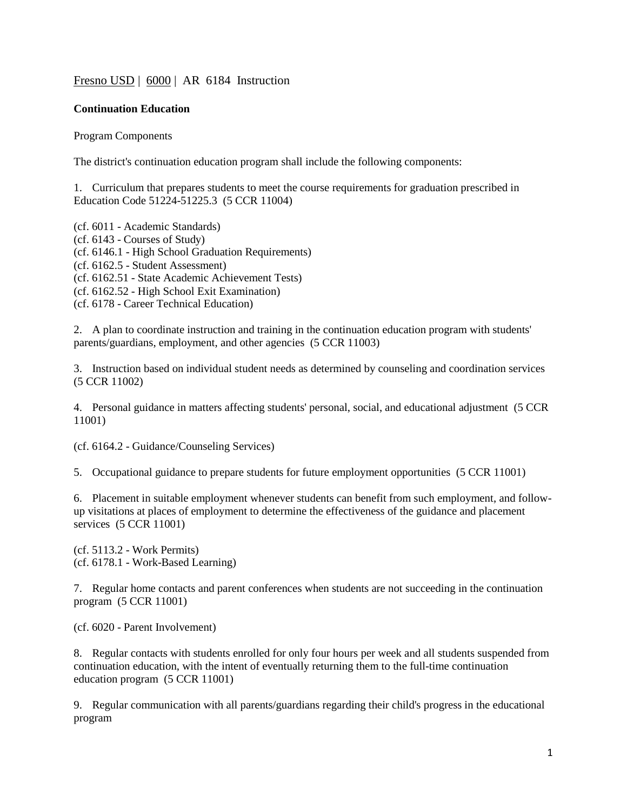# [Fresno USD](http://www.fresnounified.org/board/policies/Policies/fusd/loaddistrictpolicy/1050.htm) | [6000](http://www.fresnounified.org/board/policies/Policies/fusd/policycategorylist/1050/6.htm) | AR 6184 Instruction

### **Continuation Education**

Program Components

The district's continuation education program shall include the following components:

1. Curriculum that prepares students to meet the course requirements for graduation prescribed in Education Code 51224-51225.3 (5 CCR 11004)

(cf. 6011 - Academic Standards) (cf. 6143 - Courses of Study) (cf. 6146.1 - High School Graduation Requirements) (cf. 6162.5 - Student Assessment) (cf. 6162.51 - State Academic Achievement Tests) (cf. 6162.52 - High School Exit Examination) (cf. 6178 - Career Technical Education)

2. A plan to coordinate instruction and training in the continuation education program with students' parents/guardians, employment, and other agencies (5 CCR 11003)

3. Instruction based on individual student needs as determined by counseling and coordination services (5 CCR 11002)

4. Personal guidance in matters affecting students' personal, social, and educational adjustment (5 CCR 11001)

(cf. 6164.2 - Guidance/Counseling Services)

5. Occupational guidance to prepare students for future employment opportunities (5 CCR 11001)

6. Placement in suitable employment whenever students can benefit from such employment, and followup visitations at places of employment to determine the effectiveness of the guidance and placement services (5 CCR 11001)

(cf. 5113.2 - Work Permits) (cf. 6178.1 - Work-Based Learning)

7. Regular home contacts and parent conferences when students are not succeeding in the continuation program (5 CCR 11001)

(cf. 6020 - Parent Involvement)

8. Regular contacts with students enrolled for only four hours per week and all students suspended from continuation education, with the intent of eventually returning them to the full-time continuation education program (5 CCR 11001)

9. Regular communication with all parents/guardians regarding their child's progress in the educational program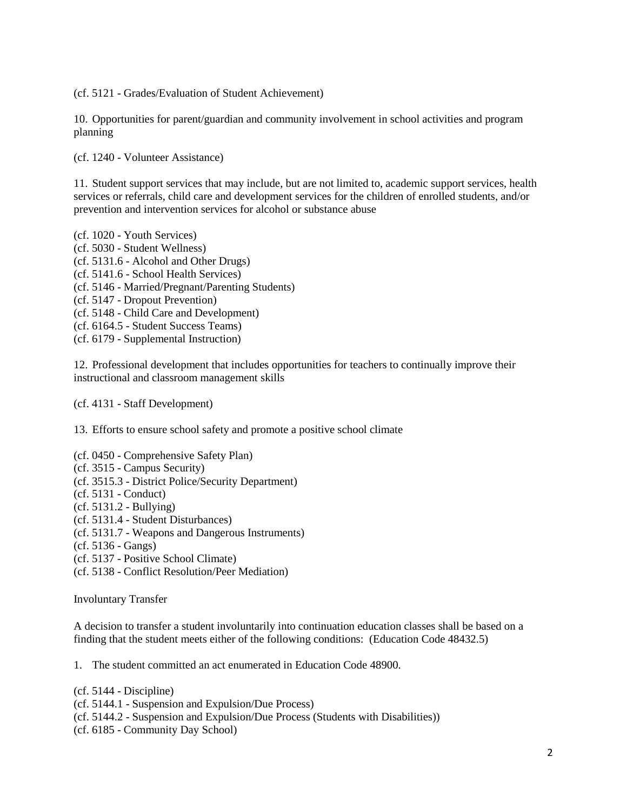(cf. 5121 - Grades/Evaluation of Student Achievement)

10. Opportunities for parent/guardian and community involvement in school activities and program planning

(cf. 1240 - Volunteer Assistance)

11. Student support services that may include, but are not limited to, academic support services, health services or referrals, child care and development services for the children of enrolled students, and/or prevention and intervention services for alcohol or substance abuse

(cf. 1020 - Youth Services) (cf. 5030 - Student Wellness) (cf. 5131.6 - Alcohol and Other Drugs) (cf. 5141.6 - School Health Services) (cf. 5146 - Married/Pregnant/Parenting Students) (cf. 5147 - Dropout Prevention) (cf. 5148 - Child Care and Development) (cf. 6164.5 - Student Success Teams) (cf. 6179 - Supplemental Instruction)

12. Professional development that includes opportunities for teachers to continually improve their instructional and classroom management skills

(cf. 4131 - Staff Development)

13. Efforts to ensure school safety and promote a positive school climate

- (cf. 0450 Comprehensive Safety Plan)
- (cf. 3515 Campus Security)
- (cf. 3515.3 District Police/Security Department)
- (cf. 5131 Conduct)
- (cf. 5131.2 Bullying)
- (cf. 5131.4 Student Disturbances)
- (cf. 5131.7 Weapons and Dangerous Instruments)
- (cf. 5136 Gangs)
- (cf. 5137 Positive School Climate)
- (cf. 5138 Conflict Resolution/Peer Mediation)

Involuntary Transfer

A decision to transfer a student involuntarily into continuation education classes shall be based on a finding that the student meets either of the following conditions: (Education Code 48432.5)

1. The student committed an act enumerated in Education Code 48900.

(cf. 5144 - Discipline) (cf. 5144.1 - Suspension and Expulsion/Due Process) (cf. 5144.2 - Suspension and Expulsion/Due Process (Students with Disabilities)) (cf. 6185 - Community Day School)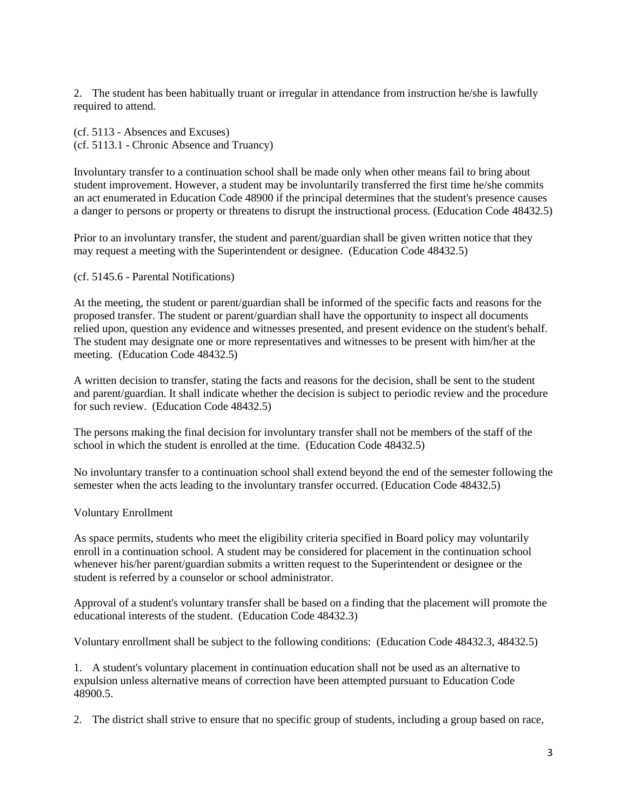2. The student has been habitually truant or irregular in attendance from instruction he/she is lawfully required to attend.

(cf. 5113 - Absences and Excuses) (cf. 5113.1 - Chronic Absence and Truancy)

Involuntary transfer to a continuation school shall be made only when other means fail to bring about student improvement. However, a student may be involuntarily transferred the first time he/she commits an act enumerated in Education Code [48900](http://www.fresnounified.org/board/policies/Policies/fusd/displaypolicy/137736/6.htm) if the principal determines that the student's presence causes a danger to persons or property or threatens to disrupt the instructional process. (Education Code [48432.5\)](http://www.fresnounified.org/board/policies/Policies/fusd/displaypolicy/132157/6.htm)

Prior to an involuntary transfer, the student and parent/guardian shall be given written notice that they may request a meeting with the Superintendent or designee. (Education Code 48432.5)

### (cf. 5145.6 - Parental Notifications)

At the meeting, the student or parent/guardian shall be informed of the specific facts and reasons for the proposed transfer. The student or parent/guardian shall have the opportunity to inspect all documents relied upon, question any evidence and witnesses presented, and present evidence on the student's behalf. The student may designate one or more representatives and witnesses to be present with him/her at the meeting. (Education Code 48432.5)

A written decision to transfer, stating the facts and reasons for the decision, shall be sent to the student and parent/guardian. It shall indicate whether the decision is subject to periodic review and the procedure for such review. (Education Code 48432.5)

The persons making the final decision for involuntary transfer shall not be members of the staff of the school in which the student is enrolled at the time. (Education Code 48432.5)

No involuntary transfer to a continuation school shall extend beyond the end of the semester following the semester when the acts leading to the involuntary transfer occurred. (Education Code [48432.5\)](http://www.fresnounified.org/board/policies/Policies/fusd/displaypolicy/132157/6.htm)

## Voluntary Enrollment

As space permits, students who meet the eligibility criteria specified in Board policy may voluntarily enroll in a continuation school. A student may be considered for placement in the continuation school whenever his/her parent/guardian submits a written request to the Superintendent or designee or the student is referred by a counselor or school administrator.

Approval of a student's voluntary transfer shall be based on a finding that the placement will promote the educational interests of the student. (Education Code 48432.3)

Voluntary enrollment shall be subject to the following conditions: (Education Code 48432.3, 48432.5)

1. A student's voluntary placement in continuation education shall not be used as an alternative to expulsion unless alternative means of correction have been attempted pursuant to Education Code 48900.5.

2. The district shall strive to ensure that no specific group of students, including a group based on race,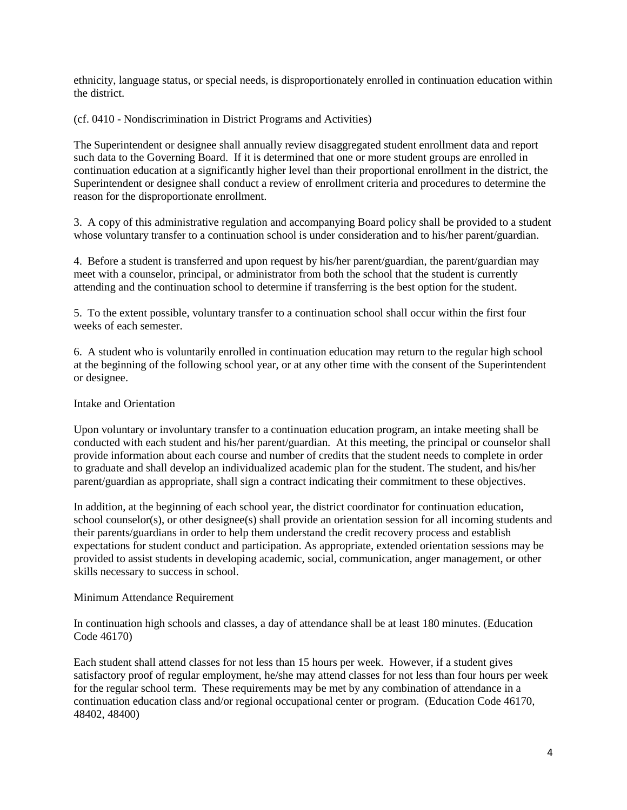ethnicity, language status, or special needs, is disproportionately enrolled in continuation education within the district.

(cf. 0410 - Nondiscrimination in District Programs and Activities)

The Superintendent or designee shall annually review disaggregated student enrollment data and report such data to the Governing Board. If it is determined that one or more student groups are enrolled in continuation education at a significantly higher level than their proportional enrollment in the district, the Superintendent or designee shall conduct a review of enrollment criteria and procedures to determine the reason for the disproportionate enrollment.

3. A copy of this administrative regulation and accompanying Board policy shall be provided to a student whose voluntary transfer to a continuation school is under consideration and to his/her parent/guardian.

4. Before a student is transferred and upon request by his/her parent/guardian, the parent/guardian may meet with a counselor, principal, or administrator from both the school that the student is currently attending and the continuation school to determine if transferring is the best option for the student.

5. To the extent possible, voluntary transfer to a continuation school shall occur within the first four weeks of each semester.

6. A student who is voluntarily enrolled in continuation education may return to the regular high school at the beginning of the following school year, or at any other time with the consent of the Superintendent or designee.

### Intake and Orientation

Upon voluntary or involuntary transfer to a continuation education program, an intake meeting shall be conducted with each student and his/her parent/guardian. At this meeting, the principal or counselor shall provide information about each course and number of credits that the student needs to complete in order to graduate and shall develop an individualized academic plan for the student. The student, and his/her parent/guardian as appropriate, shall sign a contract indicating their commitment to these objectives.

In addition, at the beginning of each school year, the district coordinator for continuation education, school counselor(s), or other designee(s) shall provide an orientation session for all incoming students and their parents/guardians in order to help them understand the credit recovery process and establish expectations for student conduct and participation. As appropriate, extended orientation sessions may be provided to assist students in developing academic, social, communication, anger management, or other skills necessary to success in school.

#### Minimum Attendance Requirement

In continuation high schools and classes, a day of attendance shall be at least 180 minutes. (Education Code 46170)

Each student shall attend classes for not less than 15 hours per week. However, if a student gives satisfactory proof of regular employment, he/she may attend classes for not less than four hours per week for the regular school term. These requirements may be met by any combination of attendance in a continuation education class and/or regional occupational center or program. (Education Code 46170, 48402, 48400)